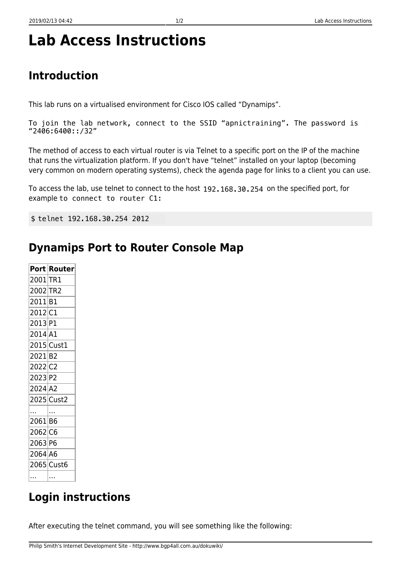# **Lab Access Instructions**

## **Introduction**

This lab runs on a virtualised environment for Cisco IOS called "Dynamips".

```
To join the lab network, connect to the SSID "apnictraining". The password is
called IPv6. The password for this network is 8888888888 - this is ten times the number 8.
"2406:6400::/32"
```
The method of access to each virtual router is via Telnet to a specific port on the IP of the machine that runs the virtualization platform. If you don't have "telnet" installed on your laptop (becoming very common on modern operating systems), check the agenda page for links to a client you can use.

To access the lab, use telnet to connect to the host 192.168.30.254 on the specified port, for example: to connect to router C1:

\$ telnet lab.ws.apricot 2012 telnet 192.168.30.254 2012

#### **Dynamips Port to Router Console Map**

|                       | Port Router |
|-----------------------|-------------|
| 2001 TR1              |             |
| 2002 TR2              |             |
| 2011 B1               |             |
| 2012 C1               |             |
| 2013 P1               |             |
| 2014 A1               |             |
|                       | 2015 Cust1  |
| 2021 B2               |             |
| 2022 C2               |             |
| 2023 P2               |             |
| $2024$ A <sub>2</sub> |             |
|                       | 2025 Cust2  |
|                       |             |
| 2061 B6               |             |
| 2062 C6               |             |
| 2063 P6               |             |
| 2064 A6               |             |
|                       | 2065 Cust6  |
|                       |             |
|                       |             |

## **Login instructions**

After executing the telnet command, you will see something like the following: